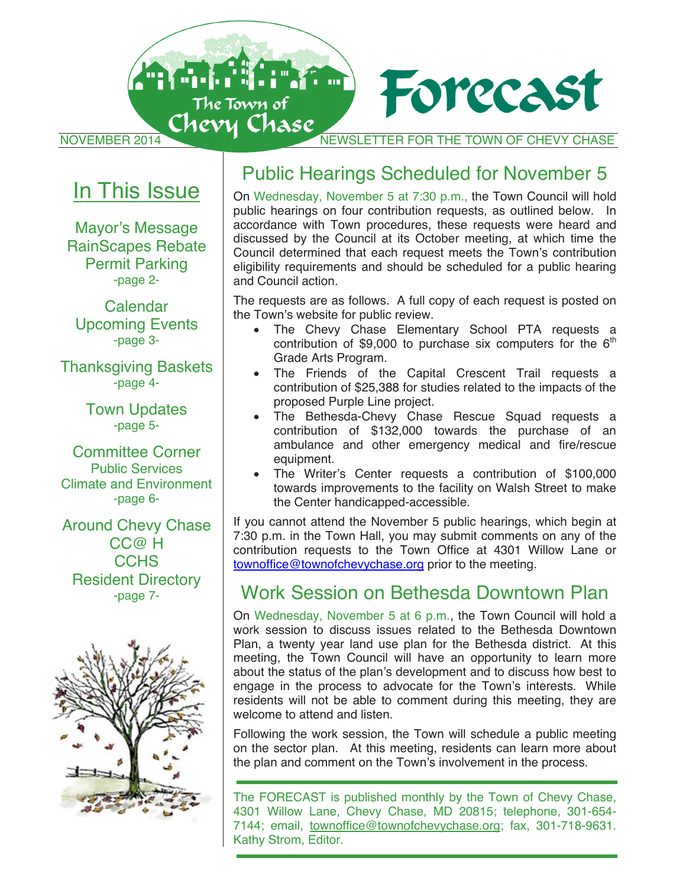

# In This Issue

Mayor's Message RainScapes Rebate Permit Parking -page 2-

Calendar Upcoming Events -page 3-

Thanksgiving Baskets -page 4-

> Town Updates -page 5-

Committee Corner Public Services Climate and Environment -page 6-

Around Chevy Chase CC@ H **CCHS** Resident Directory -page 7-



# Public Hearings Scheduled for November 5

On Wednesday, November 5 at 7:30 p.m., the Town Council will hold public hearings on four contribution requests, as outlined below. In accordance with Town procedures, these requests were heard and discussed by the Council at its October meeting, at which time the Council determined that each request meets the Town's contribution eligibility requirements and should be scheduled for a public hearing and Council action.

The requests are as follows. A full copy of each request is posted on the Town's website for public review.

- The Chevy Chase Elementary School PTA requests a contribution of \$9,000 to purchase six computers for the  $6<sup>th</sup>$ Grade Arts Program.
- The Friends of the Capital Crescent Trail requests a contribution of \$25,388 for studies related to the impacts of the proposed Purple Line project.
- The Bethesda-Chevy Chase Rescue Squad requests a contribution of \$132,000 towards the purchase of an ambulance and other emergency medical and fire/rescue equipment.
- The Writer's Center requests a contribution of \$100,000 towards improvements to the facility on Walsh Street to make the Center handicapped-accessible.

If you cannot attend the November 5 public hearings, which begin at 7:30 p.m. in the Town Hall, you may submit comments on any of the contribution requests to the Town Office at 4301 Willow Lane or townoffice@townofchevychase.org prior to the meeting.

## Work Session on Bethesda Downtown Plan

On Wednesday, November 5 at 6 p.m., the Town Council will hold a work session to discuss issues related to the Bethesda Downtown Plan, a twenty year land use plan for the Bethesda district. At this meeting, the Town Council will have an opportunity to learn more about the status of the plan's development and to discuss how best to engage in the process to advocate for the Town's interests. While residents will not be able to comment during this meeting, they are welcome to attend and listen.

Following the work session, the Town will schedule a public meeting on the sector plan. At this meeting, residents can learn more about the plan and comment on the Town's involvement in the process.

The FORECAST is published monthly by the Town of Chevy Chase, 4301 Willow Lane, Chevy Chase, MD 20815; telephone, 301-654- 7144; email, townoffice@townofchevychase.org; fax, 301-718-9631. Kathy Strom, Editor.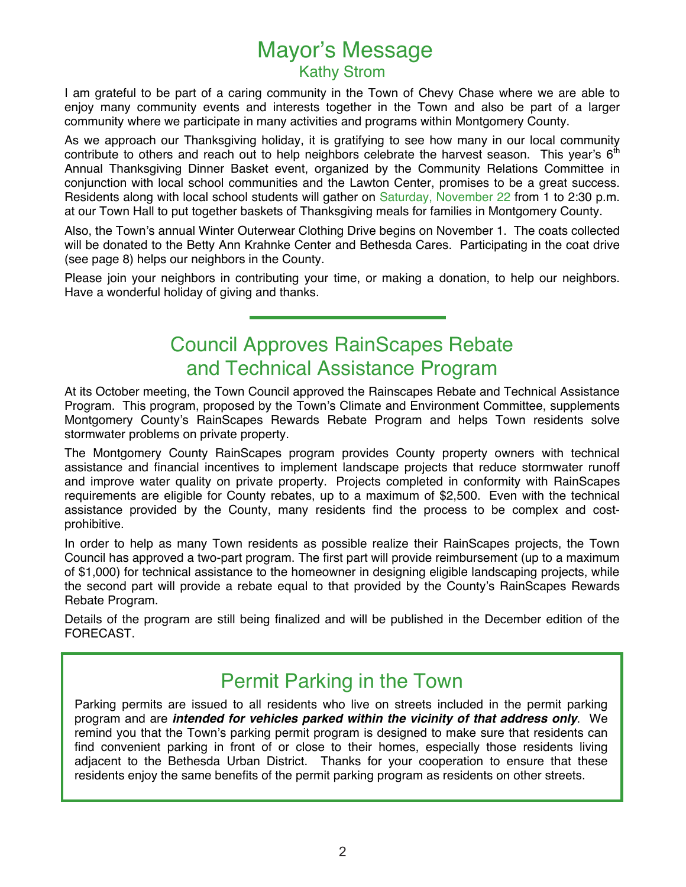# Mayor's Message Kathy Strom

I am grateful to be part of a caring community in the Town of Chevy Chase where we are able to enjoy many community events and interests together in the Town and also be part of a larger community where we participate in many activities and programs within Montgomery County.

As we approach our Thanksgiving holiday, it is gratifying to see how many in our local community contribute to others and reach out to help neighbors celebrate the harvest season. This year's  $6<sup>th</sup>$ Annual Thanksgiving Dinner Basket event, organized by the Community Relations Committee in conjunction with local school communities and the Lawton Center, promises to be a great success. Residents along with local school students will gather on Saturday, November 22 from 1 to 2:30 p.m. at our Town Hall to put together baskets of Thanksgiving meals for families in Montgomery County.

Also, the Town's annual Winter Outerwear Clothing Drive begins on November 1. The coats collected will be donated to the Betty Ann Krahnke Center and Bethesda Cares. Participating in the coat drive (see page 8) helps our neighbors in the County.

Please join your neighbors in contributing your time, or making a donation, to help our neighbors. Have a wonderful holiday of giving and thanks.

# Council Approves RainScapes Rebate and Technical Assistance Program

At its October meeting, the Town Council approved the Rainscapes Rebate and Technical Assistance Program. This program, proposed by the Town's Climate and Environment Committee, supplements Montgomery County's RainScapes Rewards Rebate Program and helps Town residents solve stormwater problems on private property.

The Montgomery County RainScapes program provides County property owners with technical assistance and financial incentives to implement landscape projects that reduce stormwater runoff and improve water quality on private property. Projects completed in conformity with RainScapes requirements are eligible for County rebates, up to a maximum of \$2,500. Even with the technical assistance provided by the County, many residents find the process to be complex and costprohibitive.

In order to help as many Town residents as possible realize their RainScapes projects, the Town Council has approved a two-part program. The first part will provide reimbursement (up to a maximum of \$1,000) for technical assistance to the homeowner in designing eligible landscaping projects, while the second part will provide a rebate equal to that provided by the County's RainScapes Rewards Rebate Program.

Details of the program are still being finalized and will be published in the December edition of the FORECAST.

# Permit Parking in the Town

Parking permits are issued to all residents who live on streets included in the permit parking program and are *intended for vehicles parked within the vicinity of that address only*. We remind you that the Town's parking permit program is designed to make sure that residents can find convenient parking in front of or close to their homes, especially those residents living adjacent to the Bethesda Urban District. Thanks for your cooperation to ensure that these residents enjoy the same benefits of the permit parking program as residents on other streets.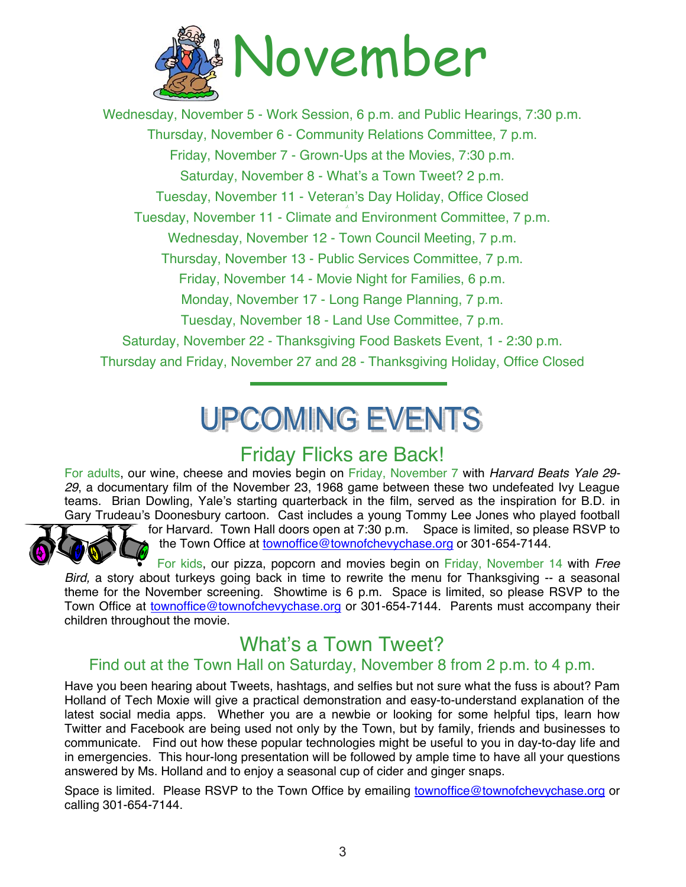

Wednesday, November 5 - Work Session, 6 p.m. and Public Hearings, 7:30 p.m. Thursday, November 6 - Community Relations Committee, 7 p.m. Friday, November 7 - Grown-Ups at the Movies, 7:30 p.m. Saturday, November 8 - What's a Town Tweet? 2 p.m. Tuesday, November 11 - Veteran's Day Holiday, Office Closed Tuesday, November 11 - Climate and Environment Committee, 7 p.m. Wednesday, November 12 - Town Council Meeting, 7 p.m. Thursday, November 13 - Public Services Committee, 7 p.m. Friday, November 14 - Movie Night for Families, 6 p.m. Monday, November 17 - Long Range Planning, 7 p.m. Tuesday, November 18 - Land Use Committee, 7 p.m. Saturday, November 22 - Thanksgiving Food Baskets Event, 1 - 2:30 p.m. Thursday and Friday, November 27 and 28 - Thanksgiving Holiday, Office Closed

# **UPCOMING EVENTS**

# Friday Flicks are Back!

For adults, our wine, cheese and movies begin on Friday, November 7 with *Harvard Beats Yale 29- 29*, a documentary film of the November 23, 1968 game between these two undefeated Ivy League teams. Brian Dowling, Yale's starting quarterback in the film, served as the inspiration for B.D. in Gary Trudeau's Doonesbury cartoon. Cast includes a young Tommy Lee Jones who played football



for Harvard. Town Hall doors open at 7:30 p.m. Space is limited, so please RSVP to the Town Office at townoffice@townofchevychase.org or 301-654-7144.

 For kids, our pizza, popcorn and movies begin on Friday, November 14 with *Free Bird,* a story about turkeys going back in time to rewrite the menu for Thanksgiving -- a seasonal theme for the November screening. Showtime is 6 p.m. Space is limited, so please RSVP to the Town Office at townoffice@townofchevychase.org or 301-654-7144. Parents must accompany their children throughout the movie.

# What's a Town Tweet?

#### Find out at the Town Hall on Saturday, November 8 from 2 p.m. to 4 p.m.

Have you been hearing about Tweets, hashtags, and selfies but not sure what the fuss is about? Pam Holland of Tech Moxie will give a practical demonstration and easy-to-understand explanation of the latest social media apps. Whether you are a newbie or looking for some helpful tips, learn how Twitter and Facebook are being used not only by the Town, but by family, friends and businesses to communicate. Find out how these popular technologies might be useful to you in day-to-day life and in emergencies. This hour-long presentation will be followed by ample time to have all your questions answered by Ms. Holland and to enjoy a seasonal cup of cider and ginger snaps.

Space is limited. Please RSVP to the Town Office by emailing townoffice@townofchevychase.org or calling 301-654-7144.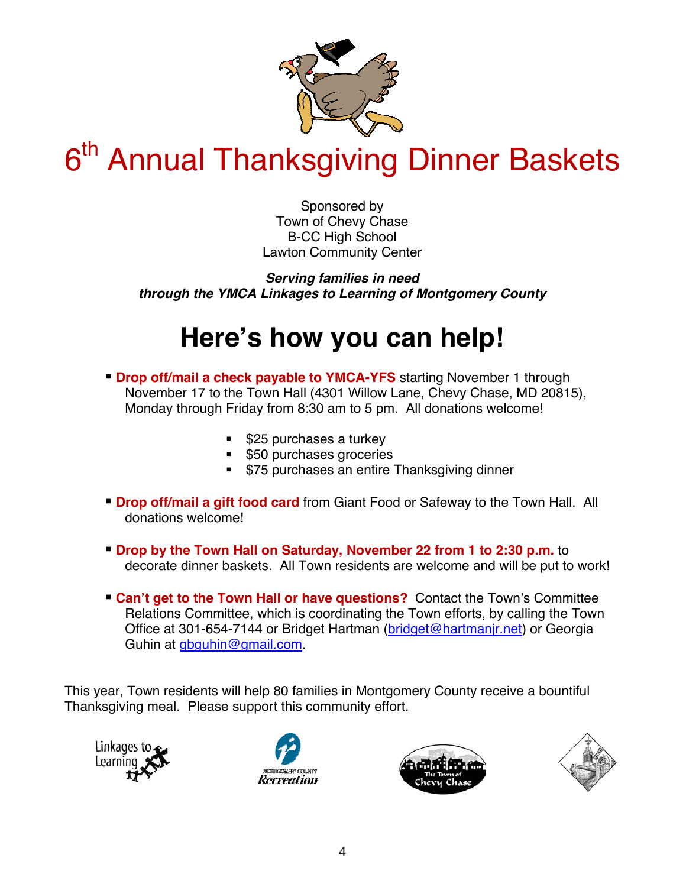

# 6<sup>th</sup> Annual Thanksgiving Dinner Baskets

Sponsored by Town of Chevy Chase B-CC High School Lawton Community Center

*Serving families in need through the YMCA Linkages to Learning of Montgomery County* 

# **Here's how you can help!**

- **Drop off/mail a check payable to YMCA-YFS** starting November 1 through November 17 to the Town Hall (4301 Willow Lane, Chevy Chase, MD 20815), Monday through Friday from 8:30 am to 5 pm. All donations welcome!
	- **S25 purchases a turkey**
	- **550 purchases groceries**
	- **575 purchases an entire Thanksgiving dinner**
- **Drop off/mail a gift food card** from Giant Food or Safeway to the Town Hall. All donations welcome!
- **Drop by the Town Hall on Saturday, November 22 from 1 to 2:30 p.m.** to decorate dinner baskets. All Town residents are welcome and will be put to work!
- **Can't get to the Town Hall or have questions?** Contact the Town's Committee Relations Committee, which is coordinating the Town efforts, by calling the Town Office at 301-654-7144 or Bridget Hartman (bridget@hartmanjr.net) or Georgia Guhin at gbguhin@gmail.com.

This year, Town residents will help 80 families in Montgomery County receive a bountiful Thanksgiving meal. Please support this community effort.







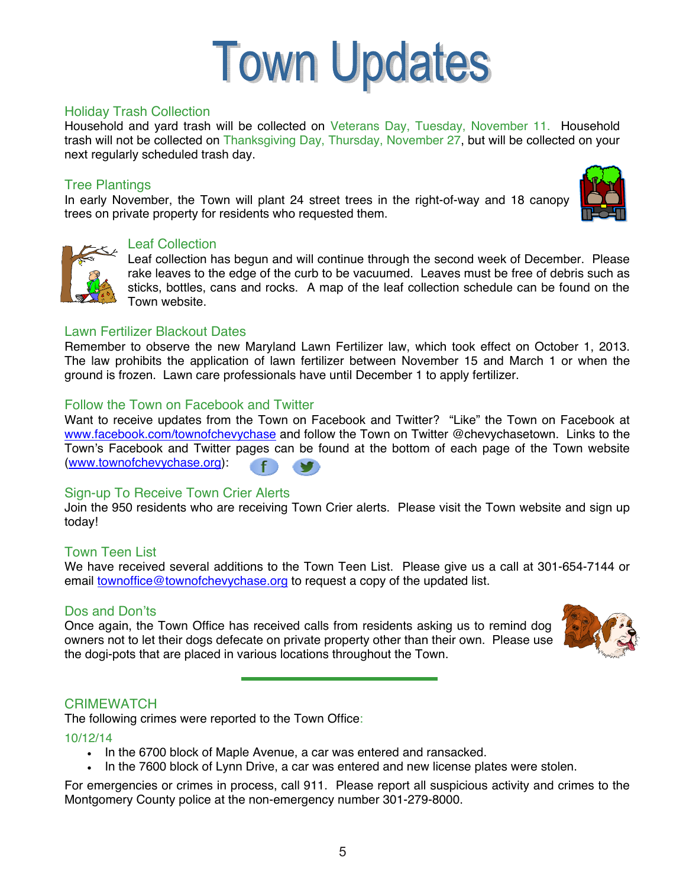

#### Holiday Trash Collection

Household and yard trash will be collected on Veterans Day, Tuesday, November 11. Household trash will not be collected on Thanksgiving Day, Thursday, November 27, but will be collected on your next regularly scheduled trash day.

#### Tree Plantings

In early November, the Town will plant 24 street trees in the right-of-way and 18 canopy trees on private property for residents who requested them.





#### Leaf Collection

Leaf collection has begun and will continue through the second week of December. Please rake leaves to the edge of the curb to be vacuumed. Leaves must be free of debris such as sticks, bottles, cans and rocks. A map of the leaf collection schedule can be found on the Town website.

#### Lawn Fertilizer Blackout Dates

Remember to observe the new Maryland Lawn Fertilizer law, which took effect on October 1, 2013. The law prohibits the application of lawn fertilizer between November 15 and March 1 or when the ground is frozen. Lawn care professionals have until December 1 to apply fertilizer.

#### Follow the Town on Facebook and Twitter

Want to receive updates from the Town on Facebook and Twitter? "Like" the Town on Facebook at www.facebook.com/townofchevychase and follow the Town on Twitter @chevychasetown. Links to the Town's Facebook and Twitter pages can be found at the bottom of each page of the Town website (www.townofchevychase.org):

#### Sign-up To Receive Town Crier Alerts

Join the 950 residents who are receiving Town Crier alerts. Please visit the Town website and sign up today!

#### Town Teen List

We have received several additions to the Town Teen List. Please give us a call at 301-654-7144 or email townoffice@townofchevychase.org to request a copy of the updated list.

#### Dos and Don'ts

Once again, the Town Office has received calls from residents asking us to remind dog owners not to let their dogs defecate on private property other than their own. Please use the dogi-pots that are placed in various locations throughout the Town.



#### **CRIMEWATCH**

The following crimes were reported to the Town Office:

10/12/14

- . In the 6700 block of Maple Avenue, a car was entered and ransacked.
- In the 7600 block of Lynn Drive, a car was entered and new license plates were stolen.

For emergencies or crimes in process, call 911. Please report all suspicious activity and crimes to the Montgomery County police at the non-emergency number 301-279-8000.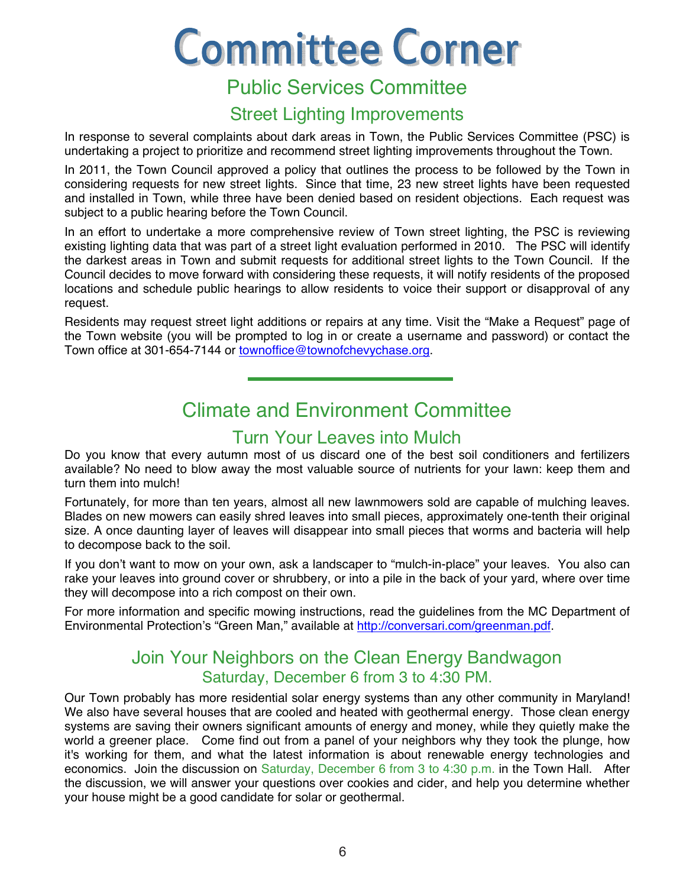# **Committee Corner**

# Public Services Committee

## Street Lighting Improvements

In response to several complaints about dark areas in Town, the Public Services Committee (PSC) is undertaking a project to prioritize and recommend street lighting improvements throughout the Town.

In 2011, the Town Council approved a policy that outlines the process to be followed by the Town in considering requests for new street lights. Since that time, 23 new street lights have been requested and installed in Town, while three have been denied based on resident objections. Each request was subject to a public hearing before the Town Council.

In an effort to undertake a more comprehensive review of Town street lighting, the PSC is reviewing existing lighting data that was part of a street light evaluation performed in 2010. The PSC will identify the darkest areas in Town and submit requests for additional street lights to the Town Council. If the Council decides to move forward with considering these requests, it will notify residents of the proposed locations and schedule public hearings to allow residents to voice their support or disapproval of any request.

Residents may request street light additions or repairs at any time. Visit the "Make a Request" page of the Town website (you will be prompted to log in or create a username and password) or contact the Town office at 301-654-7144 or townoffice@townofchevychase.org.

# Climate and Environment Committee

### Turn Your Leaves into Mulch

Do you know that every autumn most of us discard one of the best soil conditioners and fertilizers available? No need to blow away the most valuable source of nutrients for your lawn: keep them and turn them into mulch!

Fortunately, for more than ten years, almost all new lawnmowers sold are capable of mulching leaves. Blades on new mowers can easily shred leaves into small pieces, approximately one-tenth their original size. A once daunting layer of leaves will disappear into small pieces that worms and bacteria will help to decompose back to the soil.

If you don't want to mow on your own, ask a landscaper to "mulch-in-place" your leaves. You also can rake your leaves into ground cover or shrubbery, or into a pile in the back of your yard, where over time they will decompose into a rich compost on their own.

For more information and specific mowing instructions, read the guidelines from the MC Department of Environmental Protection's "Green Man," available at http://conversari.com/greenman.pdf.

### Join Your Neighbors on the Clean Energy Bandwagon Saturday, December 6 from 3 to 4:30 PM.

Our Town probably has more residential solar energy systems than any other community in Maryland! We also have several houses that are cooled and heated with geothermal energy. Those clean energy systems are saving their owners significant amounts of energy and money, while they quietly make the world a greener place. Come find out from a panel of your neighbors why they took the plunge, how it's working for them, and what the latest information is about renewable energy technologies and economics. Join the discussion on Saturday, December 6 from 3 to 4:30 p.m. in the Town Hall. After the discussion, we will answer your questions over cookies and cider, and help you determine whether your house might be a good candidate for solar or geothermal.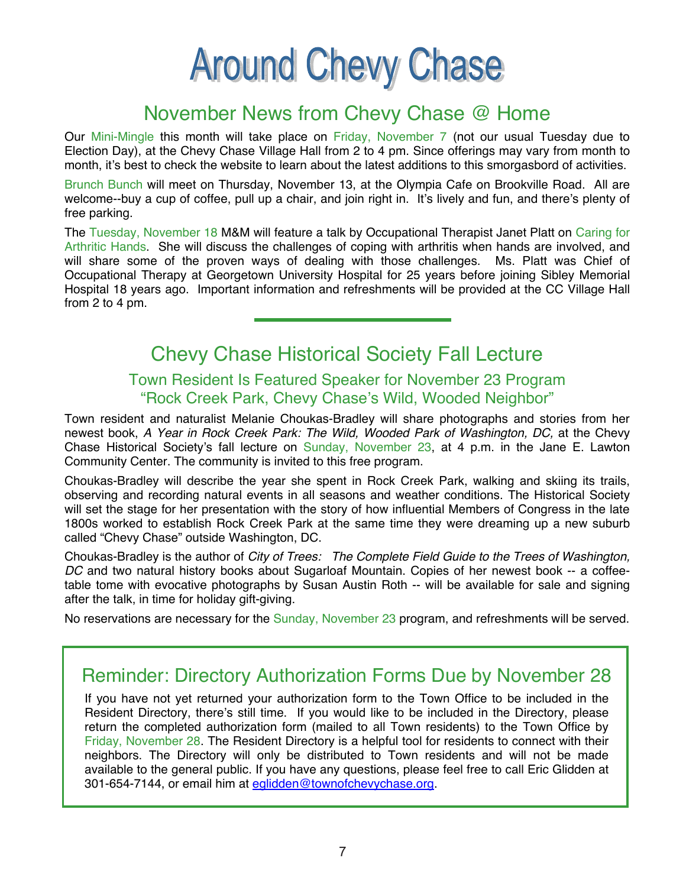# **Around Chevy Chase**

# November News from Chevy Chase @ Home

Our Mini-Mingle this month will take place on Friday, November 7 (not our usual Tuesday due to Election Day), at the Chevy Chase Village Hall from 2 to 4 pm. Since offerings may vary from month to month, it's best to check the website to learn about the latest additions to this smorgasbord of activities.

Brunch Bunch will meet on Thursday, November 13, at the Olympia Cafe on Brookville Road. All are welcome--buy a cup of coffee, pull up a chair, and join right in. It's lively and fun, and there's plenty of free parking.

The Tuesday, November 18 M&M will feature a talk by Occupational Therapist Janet Platt on Caring for Arthritic Hands. She will discuss the challenges of coping with arthritis when hands are involved, and will share some of the proven ways of dealing with those challenges. Ms. Platt was Chief of Occupational Therapy at Georgetown University Hospital for 25 years before joining Sibley Memorial Hospital 18 years ago. Important information and refreshments will be provided at the CC Village Hall from 2 to 4 pm.

# Chevy Chase Historical Society Fall Lecture

#### Town Resident Is Featured Speaker for November 23 Program "Rock Creek Park, Chevy Chase's Wild, Wooded Neighbor"

Town resident and naturalist Melanie Choukas-Bradley will share photographs and stories from her newest book, *A Year in Rock Creek Park: The Wild, Wooded Park of Washington, DC,* at the Chevy Chase Historical Society's fall lecture on Sunday, November 23, at 4 p.m. in the Jane E. Lawton Community Center. The community is invited to this free program.

Choukas-Bradley will describe the year she spent in Rock Creek Park, walking and skiing its trails, observing and recording natural events in all seasons and weather conditions. The Historical Society will set the stage for her presentation with the story of how influential Members of Congress in the late 1800s worked to establish Rock Creek Park at the same time they were dreaming up a new suburb called "Chevy Chase" outside Washington, DC.

Choukas-Bradley is the author of *City of Trees: The Complete Field Guide to the Trees of Washington, DC* and two natural history books about Sugarloaf Mountain. Copies of her newest book -- a coffeetable tome with evocative photographs by Susan Austin Roth -- will be available for sale and signing after the talk, in time for holiday gift-giving.

No reservations are necessary for the Sunday, November 23 program, and refreshments will be served.

# Reminder: Directory Authorization Forms Due by November 28

If you have not yet returned your authorization form to the Town Office to be included in the Resident Directory, there's still time. If you would like to be included in the Directory, please return the completed authorization form (mailed to all Town residents) to the Town Office by Friday, November 28. The Resident Directory is a helpful tool for residents to connect with their neighbors. The Directory will only be distributed to Town residents and will not be made available to the general public. If you have any questions, please feel free to call Eric Glidden at 301-654-7144, or email him at eglidden@townofchevychase.org.